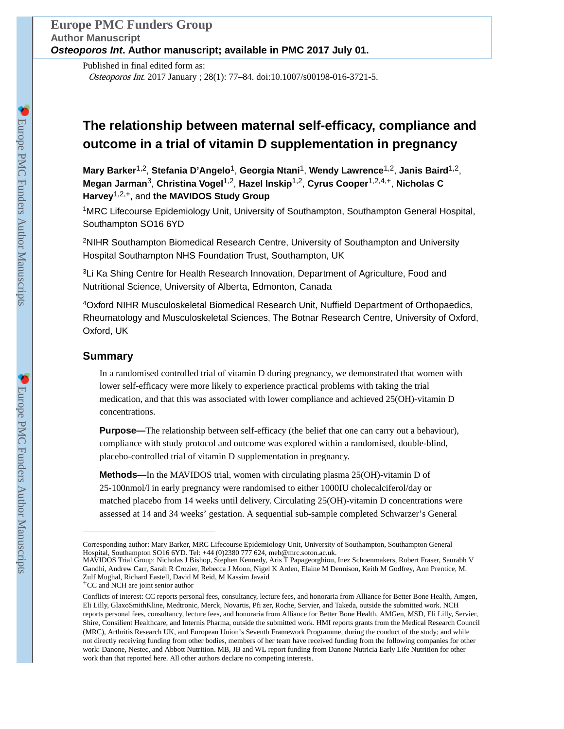Published in final edited form as: Osteoporos Int. 2017 January ; 28(1): 77–84. doi:10.1007/s00198-016-3721-5.

# **The relationship between maternal self-efficacy, compliance and outcome in a trial of vitamin D supplementation in pregnancy**

**Mary Barker**1,2, **Stefania D'Angelo**1, **Georgia Ntani**1, **Wendy Lawrence**1,2, **Janis Baird**1,2, **Megan Jarman**3, **Christina Vogel**1,2, **Hazel Inskip**1,2, **Cyrus Cooper**1,2,4,+, **Nicholas C Harvey**1,2,+, and **the MAVIDOS Study Group**

<sup>1</sup>MRC Lifecourse Epidemiology Unit, University of Southampton, Southampton General Hospital, Southampton SO16 6YD

<sup>2</sup>NIHR Southampton Biomedical Research Centre, University of Southampton and University Hospital Southampton NHS Foundation Trust, Southampton, UK

<sup>3</sup>Li Ka Shing Centre for Health Research Innovation, Department of Agriculture, Food and Nutritional Science, University of Alberta, Edmonton, Canada

<sup>4</sup>Oxford NIHR Musculoskeletal Biomedical Research Unit, Nuffield Department of Orthopaedics, Rheumatology and Musculoskeletal Sciences, The Botnar Research Centre, University of Oxford, Oxford, UK

## **Summary**

In a randomised controlled trial of vitamin D during pregnancy, we demonstrated that women with lower self-efficacy were more likely to experience practical problems with taking the trial medication, and that this was associated with lower compliance and achieved 25(OH)-vitamin D concentrations.

**Purpose—**The relationship between self-efficacy (the belief that one can carry out a behaviour), compliance with study protocol and outcome was explored within a randomised, double-blind, placebo-controlled trial of vitamin D supplementation in pregnancy.

**Methods—**In the MAVIDOS trial, women with circulating plasma 25(OH)-vitamin D of 25-100nmol/l in early pregnancy were randomised to either 1000IU cholecalciferol/day or matched placebo from 14 weeks until delivery. Circulating 25(OH)-vitamin D concentrations were assessed at 14 and 34 weeks' gestation. A sequential sub-sample completed Schwarzer's General

Corresponding author: Mary Barker, MRC Lifecourse Epidemiology Unit, University of Southampton, Southampton General Hospital, Southampton SO16 6YD. Tel: +44 (0)2380 777 624, meb@mrc.soton.ac.uk.

MAVIDOS Trial Group: Nicholas J Bishop, Stephen Kennedy, Aris T Papageorghiou, Inez Schoenmakers, Robert Fraser, Saurabh V Gandhi, Andrew Carr, Sarah R Crozier, Rebecca J Moon, Nigel K Arden, Elaine M Dennison, Keith M Godfrey, Ann Prentice, M. Zulf Mughal, Richard Eastell, David M Reid, M Kassim Javaid +CC and NCH are joint senior author

Conflicts of interest: CC reports personal fees, consultancy, lecture fees, and honoraria from Alliance for Better Bone Health, Amgen, Eli Lilly, GlaxoSmithKline, Medtronic, Merck, Novartis, Pfi zer, Roche, Servier, and Takeda, outside the submitted work. NCH reports personal fees, consultancy, lecture fees, and honoraria from Alliance for Better Bone Health, AMGen, MSD, Eli Lilly, Servier, Shire, Consilient Healthcare, and Internis Pharma, outside the submitted work. HMI reports grants from the Medical Research Council (MRC), Arthritis Research UK, and European Union's Seventh Framework Programme, during the conduct of the study; and while not directly receiving funding from other bodies, members of her team have received funding from the following companies for other work: Danone, Nestec, and Abbott Nutrition. MB, JB and WL report funding from Danone Nutricia Early Life Nutrition for other work than that reported here. All other authors declare no competing interests.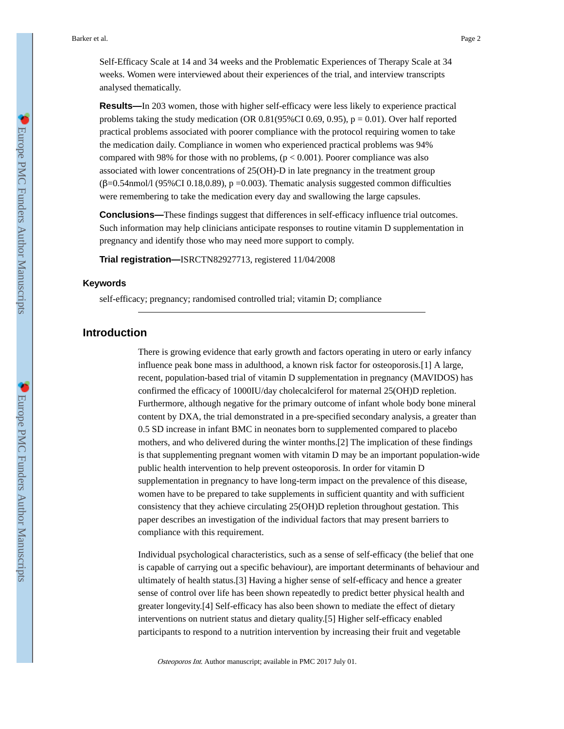Self-Efficacy Scale at 14 and 34 weeks and the Problematic Experiences of Therapy Scale at 34 weeks. Women were interviewed about their experiences of the trial, and interview transcripts analysed thematically.

**Results—**In 203 women, those with higher self-efficacy were less likely to experience practical problems taking the study medication (OR  $0.81(95\% \text{CI } 0.69, 0.95)$ ,  $p = 0.01$ ). Over half reported practical problems associated with poorer compliance with the protocol requiring women to take the medication daily. Compliance in women who experienced practical problems was 94% compared with 98% for those with no problems,  $(p < 0.001)$ . Poorer compliance was also associated with lower concentrations of 25(OH)-D in late pregnancy in the treatment group  $(\beta=0.54$ nmol/l (95%CI 0.18,0.89), p =0.003). Thematic analysis suggested common difficulties were remembering to take the medication every day and swallowing the large capsules.

**Conclusions—**These findings suggest that differences in self-efficacy influence trial outcomes. Such information may help clinicians anticipate responses to routine vitamin D supplementation in pregnancy and identify those who may need more support to comply.

**Trial registration—**ISRCTN82927713, registered 11/04/2008

#### **Keywords**

self-efficacy; pregnancy; randomised controlled trial; vitamin D; compliance

#### **Introduction**

There is growing evidence that early growth and factors operating in utero or early infancy influence peak bone mass in adulthood, a known risk factor for osteoporosis.[1] A large, recent, population-based trial of vitamin D supplementation in pregnancy (MAVIDOS) has confirmed the efficacy of 1000IU/day cholecalciferol for maternal 25(OH)D repletion. Furthermore, although negative for the primary outcome of infant whole body bone mineral content by DXA, the trial demonstrated in a pre-specified secondary analysis, a greater than 0.5 SD increase in infant BMC in neonates born to supplemented compared to placebo mothers, and who delivered during the winter months.[2] The implication of these findings is that supplementing pregnant women with vitamin D may be an important population-wide public health intervention to help prevent osteoporosis. In order for vitamin D supplementation in pregnancy to have long-term impact on the prevalence of this disease, women have to be prepared to take supplements in sufficient quantity and with sufficient consistency that they achieve circulating 25(OH)D repletion throughout gestation. This paper describes an investigation of the individual factors that may present barriers to compliance with this requirement.

Individual psychological characteristics, such as a sense of self-efficacy (the belief that one is capable of carrying out a specific behaviour), are important determinants of behaviour and ultimately of health status.[3] Having a higher sense of self-efficacy and hence a greater sense of control over life has been shown repeatedly to predict better physical health and greater longevity.[4] Self-efficacy has also been shown to mediate the effect of dietary interventions on nutrient status and dietary quality.[5] Higher self-efficacy enabled participants to respond to a nutrition intervention by increasing their fruit and vegetable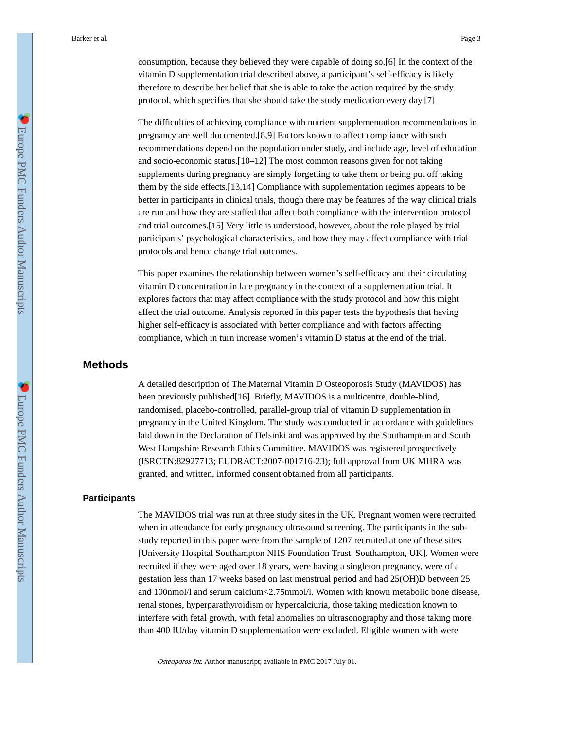consumption, because they believed they were capable of doing so.[6] In the context of the vitamin D supplementation trial described above, a participant's self-efficacy is likely therefore to describe her belief that she is able to take the action required by the study protocol, which specifies that she should take the study medication every day.[7]

The difficulties of achieving compliance with nutrient supplementation recommendations in pregnancy are well documented.[8,9] Factors known to affect compliance with such recommendations depend on the population under study, and include age, level of education and socio-economic status.[10–12] The most common reasons given for not taking supplements during pregnancy are simply forgetting to take them or being put off taking them by the side effects.[13,14] Compliance with supplementation regimes appears to be better in participants in clinical trials, though there may be features of the way clinical trials are run and how they are staffed that affect both compliance with the intervention protocol and trial outcomes.[15] Very little is understood, however, about the role played by trial participants' psychological characteristics, and how they may affect compliance with trial protocols and hence change trial outcomes.

This paper examines the relationship between women's self-efficacy and their circulating vitamin D concentration in late pregnancy in the context of a supplementation trial. It explores factors that may affect compliance with the study protocol and how this might affect the trial outcome. Analysis reported in this paper tests the hypothesis that having higher self-efficacy is associated with better compliance and with factors affecting compliance, which in turn increase women's vitamin D status at the end of the trial.

### **Methods**

A detailed description of The Maternal Vitamin D Osteoporosis Study (MAVIDOS) has been previously published[16]. Briefly, MAVIDOS is a multicentre, double-blind, randomised, placebo-controlled, parallel-group trial of vitamin D supplementation in pregnancy in the United Kingdom. The study was conducted in accordance with guidelines laid down in the Declaration of Helsinki and was approved by the Southampton and South West Hampshire Research Ethics Committee. MAVIDOS was registered prospectively (ISRCTN:82927713; EUDRACT:2007-001716-23); full approval from UK MHRA was granted, and written, informed consent obtained from all participants.

#### **Participants**

The MAVIDOS trial was run at three study sites in the UK. Pregnant women were recruited when in attendance for early pregnancy ultrasound screening. The participants in the substudy reported in this paper were from the sample of 1207 recruited at one of these sites [University Hospital Southampton NHS Foundation Trust, Southampton, UK]. Women were recruited if they were aged over 18 years, were having a singleton pregnancy, were of a gestation less than 17 weeks based on last menstrual period and had 25(OH)D between 25 and 100nmol/l and serum calcium<2.75mmol/l. Women with known metabolic bone disease, renal stones, hyperparathyroidism or hypercalciuria, those taking medication known to interfere with fetal growth, with fetal anomalies on ultrasonography and those taking more than 400 IU/day vitamin D supplementation were excluded. Eligible women with were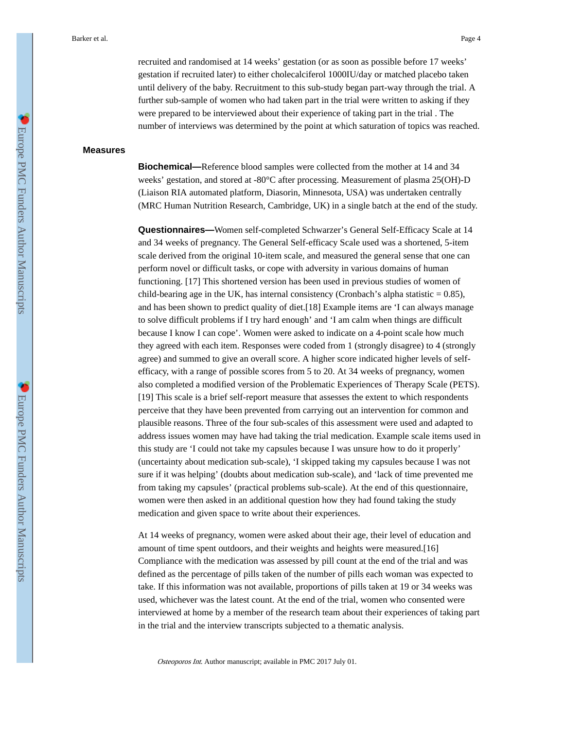recruited and randomised at 14 weeks' gestation (or as soon as possible before 17 weeks' gestation if recruited later) to either cholecalciferol 1000IU/day or matched placebo taken until delivery of the baby. Recruitment to this sub-study began part-way through the trial. A further sub-sample of women who had taken part in the trial were written to asking if they were prepared to be interviewed about their experience of taking part in the trial . The number of interviews was determined by the point at which saturation of topics was reached.

#### **Measures**

**Biochemical—**Reference blood samples were collected from the mother at 14 and 34 weeks' gestation, and stored at -80°C after processing. Measurement of plasma 25(OH)-D (Liaison RIA automated platform, Diasorin, Minnesota, USA) was undertaken centrally (MRC Human Nutrition Research, Cambridge, UK) in a single batch at the end of the study.

**Questionnaires—**Women self-completed Schwarzer's General Self-Efficacy Scale at 14 and 34 weeks of pregnancy. The General Self-efficacy Scale used was a shortened, 5-item scale derived from the original 10-item scale, and measured the general sense that one can perform novel or difficult tasks, or cope with adversity in various domains of human functioning. [17] This shortened version has been used in previous studies of women of child-bearing age in the UK, has internal consistency (Cronbach's alpha statistic  $= 0.85$ ), and has been shown to predict quality of diet.[18] Example items are 'I can always manage to solve difficult problems if I try hard enough' and 'I am calm when things are difficult because I know I can cope'. Women were asked to indicate on a 4-point scale how much they agreed with each item. Responses were coded from 1 (strongly disagree) to 4 (strongly agree) and summed to give an overall score. A higher score indicated higher levels of selfefficacy, with a range of possible scores from 5 to 20. At 34 weeks of pregnancy, women also completed a modified version of the Problematic Experiences of Therapy Scale (PETS). [19] This scale is a brief self-report measure that assesses the extent to which respondents perceive that they have been prevented from carrying out an intervention for common and plausible reasons. Three of the four sub-scales of this assessment were used and adapted to address issues women may have had taking the trial medication. Example scale items used in this study are 'I could not take my capsules because I was unsure how to do it properly' (uncertainty about medication sub-scale), 'I skipped taking my capsules because I was not sure if it was helping' (doubts about medication sub-scale), and 'lack of time prevented me from taking my capsules' (practical problems sub-scale). At the end of this questionnaire, women were then asked in an additional question how they had found taking the study medication and given space to write about their experiences.

At 14 weeks of pregnancy, women were asked about their age, their level of education and amount of time spent outdoors, and their weights and heights were measured.[16] Compliance with the medication was assessed by pill count at the end of the trial and was defined as the percentage of pills taken of the number of pills each woman was expected to take. If this information was not available, proportions of pills taken at 19 or 34 weeks was used, whichever was the latest count. At the end of the trial, women who consented were interviewed at home by a member of the research team about their experiences of taking part in the trial and the interview transcripts subjected to a thematic analysis.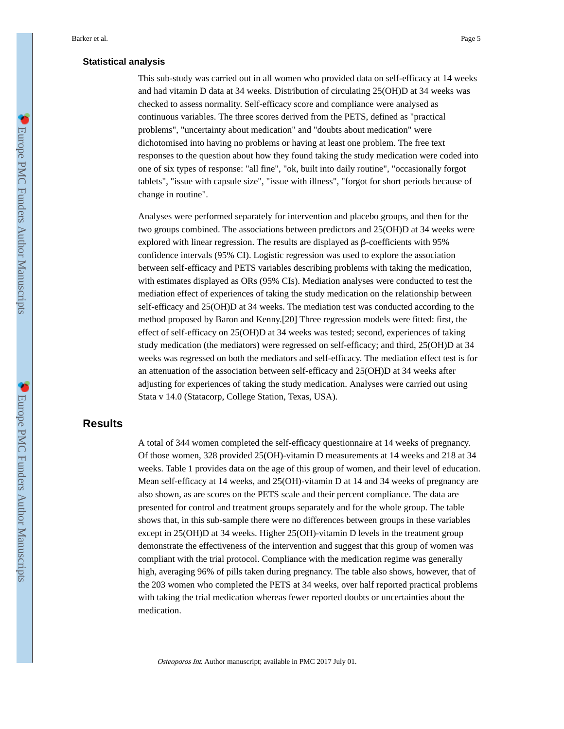#### **Statistical analysis**

This sub-study was carried out in all women who provided data on self-efficacy at 14 weeks and had vitamin D data at 34 weeks. Distribution of circulating 25(OH)D at 34 weeks was checked to assess normality. Self-efficacy score and compliance were analysed as continuous variables. The three scores derived from the PETS, defined as "practical problems", "uncertainty about medication" and "doubts about medication" were dichotomised into having no problems or having at least one problem. The free text responses to the question about how they found taking the study medication were coded into one of six types of response: "all fine", "ok, built into daily routine", "occasionally forgot tablets", "issue with capsule size", "issue with illness", "forgot for short periods because of change in routine".

Analyses were performed separately for intervention and placebo groups, and then for the two groups combined. The associations between predictors and 25(OH)D at 34 weeks were explored with linear regression. The results are displayed as  $β$ -coefficients with 95% confidence intervals (95% CI). Logistic regression was used to explore the association between self-efficacy and PETS variables describing problems with taking the medication, with estimates displayed as ORs (95% CIs). Mediation analyses were conducted to test the mediation effect of experiences of taking the study medication on the relationship between self-efficacy and 25(OH)D at 34 weeks. The mediation test was conducted according to the method proposed by Baron and Kenny.[20] Three regression models were fitted: first, the effect of self-efficacy on 25(OH)D at 34 weeks was tested; second, experiences of taking study medication (the mediators) were regressed on self-efficacy; and third, 25(OH)D at 34 weeks was regressed on both the mediators and self-efficacy. The mediation effect test is for an attenuation of the association between self-efficacy and 25(OH)D at 34 weeks after adjusting for experiences of taking the study medication. Analyses were carried out using Stata v 14.0 (Statacorp, College Station, Texas, USA).

# **Results**

A total of 344 women completed the self-efficacy questionnaire at 14 weeks of pregnancy. Of those women, 328 provided 25(OH)-vitamin D measurements at 14 weeks and 218 at 34 weeks. Table 1 provides data on the age of this group of women, and their level of education. Mean self-efficacy at 14 weeks, and 25(OH)-vitamin D at 14 and 34 weeks of pregnancy are also shown, as are scores on the PETS scale and their percent compliance. The data are presented for control and treatment groups separately and for the whole group. The table shows that, in this sub-sample there were no differences between groups in these variables except in 25(OH)D at 34 weeks. Higher 25(OH)-vitamin D levels in the treatment group demonstrate the effectiveness of the intervention and suggest that this group of women was compliant with the trial protocol. Compliance with the medication regime was generally high, averaging 96% of pills taken during pregnancy. The table also shows, however, that of the 203 women who completed the PETS at 34 weeks, over half reported practical problems with taking the trial medication whereas fewer reported doubts or uncertainties about the medication.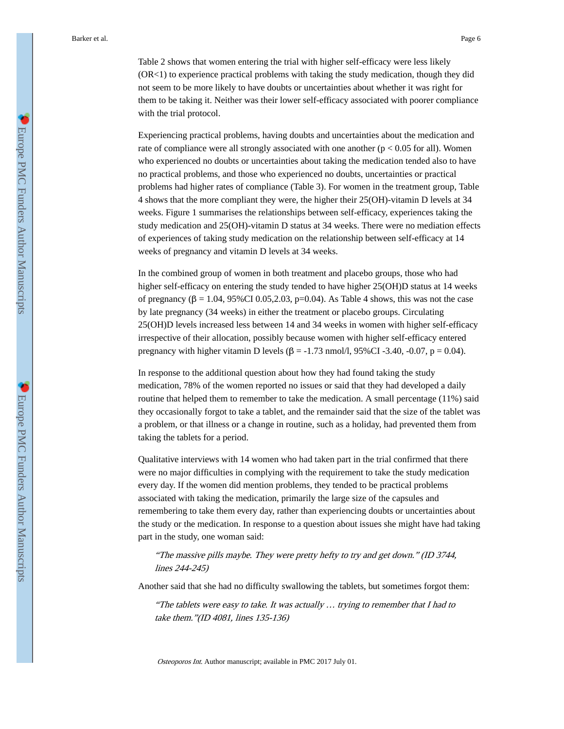Barker et al. Page 6

Table 2 shows that women entering the trial with higher self-efficacy were less likely (OR<1) to experience practical problems with taking the study medication, though they did not seem to be more likely to have doubts or uncertainties about whether it was right for them to be taking it. Neither was their lower self-efficacy associated with poorer compliance with the trial protocol.

Experiencing practical problems, having doubts and uncertainties about the medication and rate of compliance were all strongly associated with one another ( $p < 0.05$  for all). Women who experienced no doubts or uncertainties about taking the medication tended also to have no practical problems, and those who experienced no doubts, uncertainties or practical problems had higher rates of compliance (Table 3). For women in the treatment group, Table 4 shows that the more compliant they were, the higher their 25(OH)-vitamin D levels at 34 weeks. Figure 1 summarises the relationships between self-efficacy, experiences taking the study medication and 25(OH)-vitamin D status at 34 weeks. There were no mediation effects of experiences of taking study medication on the relationship between self-efficacy at 14 weeks of pregnancy and vitamin D levels at 34 weeks.

In the combined group of women in both treatment and placebo groups, those who had higher self-efficacy on entering the study tended to have higher 25(OH)D status at 14 weeks of pregnancy (β = 1.04, 95%CI 0.05,2.03, p=0.04). As Table 4 shows, this was not the case by late pregnancy (34 weeks) in either the treatment or placebo groups. Circulating 25(OH)D levels increased less between 14 and 34 weeks in women with higher self-efficacy irrespective of their allocation, possibly because women with higher self-efficacy entered pregnancy with higher vitamin D levels (β = -1.73 nmol/l, 95%CI -3.40, -0.07, p = 0.04).

In response to the additional question about how they had found taking the study medication, 78% of the women reported no issues or said that they had developed a daily routine that helped them to remember to take the medication. A small percentage (11%) said they occasionally forgot to take a tablet, and the remainder said that the size of the tablet was a problem, or that illness or a change in routine, such as a holiday, had prevented them from taking the tablets for a period.

Qualitative interviews with 14 women who had taken part in the trial confirmed that there were no major difficulties in complying with the requirement to take the study medication every day. If the women did mention problems, they tended to be practical problems associated with taking the medication, primarily the large size of the capsules and remembering to take them every day, rather than experiencing doubts or uncertainties about the study or the medication. In response to a question about issues she might have had taking part in the study, one woman said:

"The massive pills maybe. They were pretty hefty to try and get down." (ID 3744, lines 244-245)

Another said that she had no difficulty swallowing the tablets, but sometimes forgot them:

"The tablets were easy to take. It was actually … trying to remember that I had to take them."(ID 4081, lines 135-136)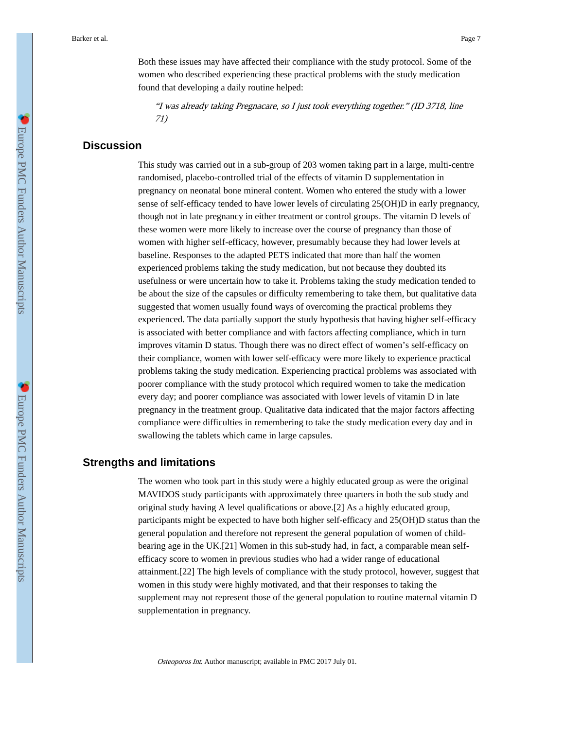Both these issues may have affected their compliance with the study protocol. Some of the women who described experiencing these practical problems with the study medication found that developing a daily routine helped:

"I was already taking Pregnacare, so I just took everything together." (ID 3718, line 71)

# **Discussion**

This study was carried out in a sub-group of 203 women taking part in a large, multi-centre randomised, placebo-controlled trial of the effects of vitamin D supplementation in pregnancy on neonatal bone mineral content. Women who entered the study with a lower sense of self-efficacy tended to have lower levels of circulating 25(OH)D in early pregnancy, though not in late pregnancy in either treatment or control groups. The vitamin D levels of these women were more likely to increase over the course of pregnancy than those of women with higher self-efficacy, however, presumably because they had lower levels at baseline. Responses to the adapted PETS indicated that more than half the women experienced problems taking the study medication, but not because they doubted its usefulness or were uncertain how to take it. Problems taking the study medication tended to be about the size of the capsules or difficulty remembering to take them, but qualitative data suggested that women usually found ways of overcoming the practical problems they experienced. The data partially support the study hypothesis that having higher self-efficacy is associated with better compliance and with factors affecting compliance, which in turn improves vitamin D status. Though there was no direct effect of women's self-efficacy on their compliance, women with lower self-efficacy were more likely to experience practical problems taking the study medication. Experiencing practical problems was associated with poorer compliance with the study protocol which required women to take the medication every day; and poorer compliance was associated with lower levels of vitamin D in late pregnancy in the treatment group. Qualitative data indicated that the major factors affecting compliance were difficulties in remembering to take the study medication every day and in swallowing the tablets which came in large capsules.

### **Strengths and limitations**

The women who took part in this study were a highly educated group as were the original MAVIDOS study participants with approximately three quarters in both the sub study and original study having A level qualifications or above.[2] As a highly educated group, participants might be expected to have both higher self-efficacy and 25(OH)D status than the general population and therefore not represent the general population of women of childbearing age in the UK.[21] Women in this sub-study had, in fact, a comparable mean selfefficacy score to women in previous studies who had a wider range of educational attainment.[22] The high levels of compliance with the study protocol, however, suggest that women in this study were highly motivated, and that their responses to taking the supplement may not represent those of the general population to routine maternal vitamin D supplementation in pregnancy.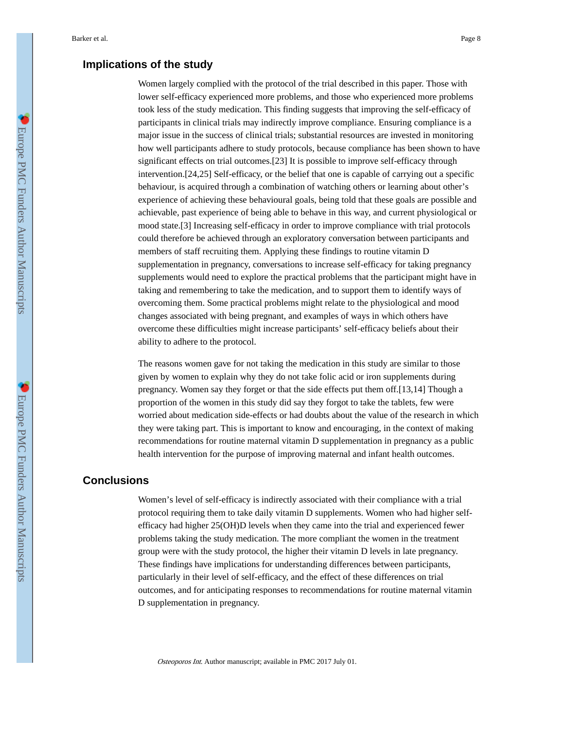### **Implications of the study**

Women largely complied with the protocol of the trial described in this paper. Those with lower self-efficacy experienced more problems, and those who experienced more problems took less of the study medication. This finding suggests that improving the self-efficacy of participants in clinical trials may indirectly improve compliance. Ensuring compliance is a major issue in the success of clinical trials; substantial resources are invested in monitoring how well participants adhere to study protocols, because compliance has been shown to have significant effects on trial outcomes.[23] It is possible to improve self-efficacy through intervention.[24,25] Self-efficacy, or the belief that one is capable of carrying out a specific behaviour, is acquired through a combination of watching others or learning about other's experience of achieving these behavioural goals, being told that these goals are possible and achievable, past experience of being able to behave in this way, and current physiological or mood state.[3] Increasing self-efficacy in order to improve compliance with trial protocols could therefore be achieved through an exploratory conversation between participants and members of staff recruiting them. Applying these findings to routine vitamin D supplementation in pregnancy, conversations to increase self-efficacy for taking pregnancy supplements would need to explore the practical problems that the participant might have in taking and remembering to take the medication, and to support them to identify ways of overcoming them. Some practical problems might relate to the physiological and mood changes associated with being pregnant, and examples of ways in which others have overcome these difficulties might increase participants' self-efficacy beliefs about their ability to adhere to the protocol.

The reasons women gave for not taking the medication in this study are similar to those given by women to explain why they do not take folic acid or iron supplements during pregnancy. Women say they forget or that the side effects put them off.[13,14] Though a proportion of the women in this study did say they forgot to take the tablets, few were worried about medication side-effects or had doubts about the value of the research in which they were taking part. This is important to know and encouraging, in the context of making recommendations for routine maternal vitamin D supplementation in pregnancy as a public health intervention for the purpose of improving maternal and infant health outcomes.

## **Conclusions**

Women's level of self-efficacy is indirectly associated with their compliance with a trial protocol requiring them to take daily vitamin D supplements. Women who had higher selfefficacy had higher 25(OH)D levels when they came into the trial and experienced fewer problems taking the study medication. The more compliant the women in the treatment group were with the study protocol, the higher their vitamin D levels in late pregnancy. These findings have implications for understanding differences between participants, particularly in their level of self-efficacy, and the effect of these differences on trial outcomes, and for anticipating responses to recommendations for routine maternal vitamin D supplementation in pregnancy.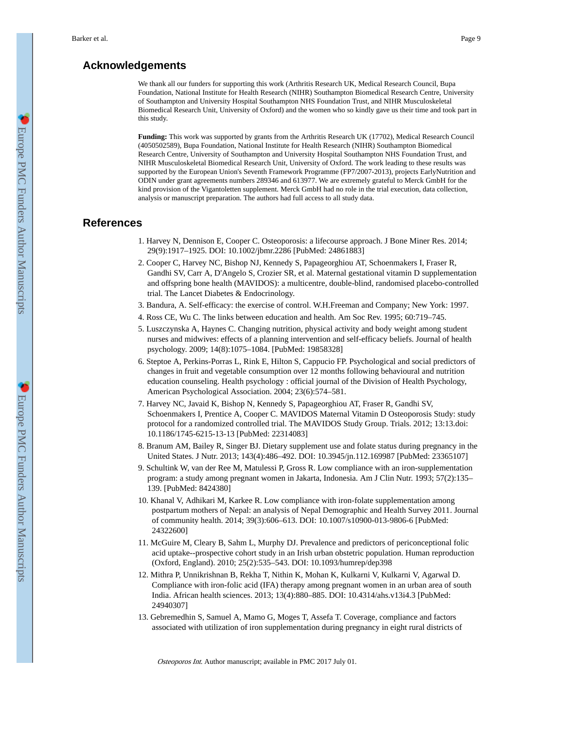### **Acknowledgements**

We thank all our funders for supporting this work (Arthritis Research UK, Medical Research Council, Bupa Foundation, National Institute for Health Research (NIHR) Southampton Biomedical Research Centre, University of Southampton and University Hospital Southampton NHS Foundation Trust, and NIHR Musculoskeletal Biomedical Research Unit, University of Oxford) and the women who so kindly gave us their time and took part in this study.

**Funding:** This work was supported by grants from the Arthritis Research UK (17702), Medical Research Council (4050502589), Bupa Foundation, National Institute for Health Research (NIHR) Southampton Biomedical Research Centre, University of Southampton and University Hospital Southampton NHS Foundation Trust, and NIHR Musculoskeletal Biomedical Research Unit, University of Oxford. The work leading to these results was supported by the European Union's Seventh Framework Programme (FP7/2007-2013), projects EarlyNutrition and ODIN under grant agreements numbers 289346 and 613977. We are extremely grateful to Merck GmbH for the kind provision of the Vigantoletten supplement. Merck GmbH had no role in the trial execution, data collection, analysis or manuscript preparation. The authors had full access to all study data.

# **References**

- 1. Harvey N, Dennison E, Cooper C. Osteoporosis: a lifecourse approach. J Bone Miner Res. 2014; 29(9):1917–1925. DOI: 10.1002/jbmr.2286 [PubMed: 24861883]
- 2. Cooper C, Harvey NC, Bishop NJ, Kennedy S, Papageorghiou AT, Schoenmakers I, Fraser R, Gandhi SV, Carr A, D'Angelo S, Crozier SR, et al. Maternal gestational vitamin D supplementation and offspring bone health (MAVIDOS): a multicentre, double-blind, randomised placebo-controlled trial. The Lancet Diabetes & Endocrinology.
- 3. Bandura, A. Self-efficacy: the exercise of control. W.H.Freeman and Company; New York: 1997.
- 4. Ross CE, Wu C. The links between education and health. Am Soc Rev. 1995; 60:719–745.
- 5. Luszczynska A, Haynes C. Changing nutrition, physical activity and body weight among student nurses and midwives: effects of a planning intervention and self-efficacy beliefs. Journal of health psychology. 2009; 14(8):1075–1084. [PubMed: 19858328]
- 6. Steptoe A, Perkins-Porras L, Rink E, Hilton S, Cappucio FP. Psychological and social predictors of changes in fruit and vegetable consumption over 12 months following behavioural and nutrition education counseling. Health psychology : official journal of the Division of Health Psychology, American Psychological Association. 2004; 23(6):574–581.
- 7. Harvey NC, Javaid K, Bishop N, Kennedy S, Papageorghiou AT, Fraser R, Gandhi SV, Schoenmakers I, Prentice A, Cooper C. MAVIDOS Maternal Vitamin D Osteoporosis Study: study protocol for a randomized controlled trial. The MAVIDOS Study Group. Trials. 2012; 13:13.doi: 10.1186/1745-6215-13-13 [PubMed: 22314083]
- 8. Branum AM, Bailey R, Singer BJ. Dietary supplement use and folate status during pregnancy in the United States. J Nutr. 2013; 143(4):486–492. DOI: 10.3945/jn.112.169987 [PubMed: 23365107]
- 9. Schultink W, van der Ree M, Matulessi P, Gross R. Low compliance with an iron-supplementation program: a study among pregnant women in Jakarta, Indonesia. Am J Clin Nutr. 1993; 57(2):135– 139. [PubMed: 8424380]
- 10. Khanal V, Adhikari M, Karkee R. Low compliance with iron-folate supplementation among postpartum mothers of Nepal: an analysis of Nepal Demographic and Health Survey 2011. Journal of community health. 2014; 39(3):606–613. DOI: 10.1007/s10900-013-9806-6 [PubMed: 24322600]
- 11. McGuire M, Cleary B, Sahm L, Murphy DJ. Prevalence and predictors of periconceptional folic acid uptake--prospective cohort study in an Irish urban obstetric population. Human reproduction (Oxford, England). 2010; 25(2):535–543. DOI: 10.1093/humrep/dep398
- 12. Mithra P, Unnikrishnan B, Rekha T, Nithin K, Mohan K, Kulkarni V, Kulkarni V, Agarwal D. Compliance with iron-folic acid (IFA) therapy among pregnant women in an urban area of south India. African health sciences. 2013; 13(4):880–885. DOI: 10.4314/ahs.v13i4.3 [PubMed: 24940307]
- 13. Gebremedhin S, Samuel A, Mamo G, Moges T, Assefa T. Coverage, compliance and factors associated with utilization of iron supplementation during pregnancy in eight rural districts of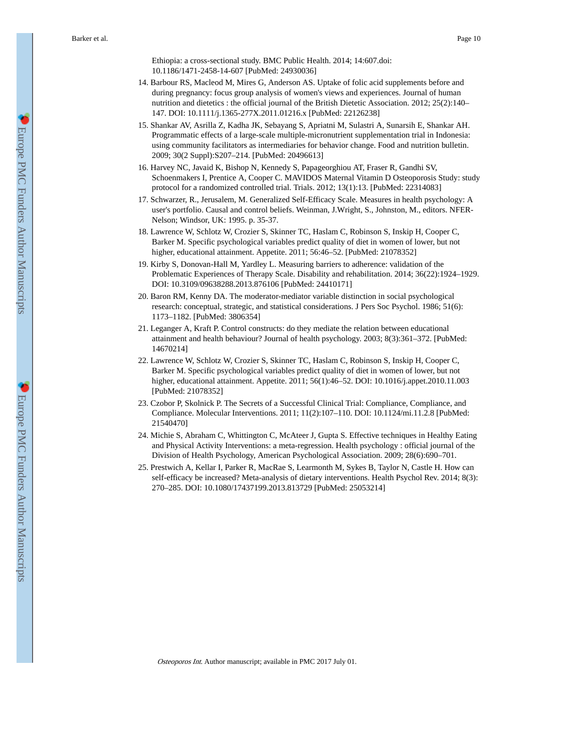Ethiopia: a cross-sectional study. BMC Public Health. 2014; 14:607.doi: 10.1186/1471-2458-14-607 [PubMed: 24930036]

- 14. Barbour RS, Macleod M, Mires G, Anderson AS. Uptake of folic acid supplements before and during pregnancy: focus group analysis of women's views and experiences. Journal of human nutrition and dietetics : the official journal of the British Dietetic Association. 2012; 25(2):140– 147. DOI: 10.1111/j.1365-277X.2011.01216.x [PubMed: 22126238]
- 15. Shankar AV, Asrilla Z, Kadha JK, Sebayang S, Apriatni M, Sulastri A, Sunarsih E, Shankar AH. Programmatic effects of a large-scale multiple-micronutrient supplementation trial in Indonesia: using community facilitators as intermediaries for behavior change. Food and nutrition bulletin. 2009; 30(2 Suppl):S207–214. [PubMed: 20496613]
- 16. Harvey NC, Javaid K, Bishop N, Kennedy S, Papageorghiou AT, Fraser R, Gandhi SV, Schoenmakers I, Prentice A, Cooper C. MAVIDOS Maternal Vitamin D Osteoporosis Study: study protocol for a randomized controlled trial. Trials. 2012; 13(1):13. [PubMed: 22314083]
- 17. Schwarzer, R., Jerusalem, M. Generalized Self-Efficacy Scale. Measures in health psychology: A user's portfolio. Causal and control beliefs. Weinman, J.Wright, S., Johnston, M., editors. NFER-Nelson; Windsor, UK: 1995. p. 35-37.
- 18. Lawrence W, Schlotz W, Crozier S, Skinner TC, Haslam C, Robinson S, Inskip H, Cooper C, Barker M. Specific psychological variables predict quality of diet in women of lower, but not higher, educational attainment. Appetite. 2011; 56:46-52. [PubMed: 21078352]
- 19. Kirby S, Donovan-Hall M, Yardley L. Measuring barriers to adherence: validation of the Problematic Experiences of Therapy Scale. Disability and rehabilitation. 2014; 36(22):1924–1929. DOI: 10.3109/09638288.2013.876106 [PubMed: 24410171]
- 20. Baron RM, Kenny DA. The moderator-mediator variable distinction in social psychological research: conceptual, strategic, and statistical considerations. J Pers Soc Psychol. 1986; 51(6): 1173–1182. [PubMed: 3806354]
- 21. Leganger A, Kraft P. Control constructs: do they mediate the relation between educational attainment and health behaviour? Journal of health psychology. 2003; 8(3):361–372. [PubMed: 14670214]
- 22. Lawrence W, Schlotz W, Crozier S, Skinner TC, Haslam C, Robinson S, Inskip H, Cooper C, Barker M. Specific psychological variables predict quality of diet in women of lower, but not higher, educational attainment. Appetite. 2011; 56(1):46–52. DOI: 10.1016/j.appet.2010.11.003 [PubMed: 21078352]
- 23. Czobor P, Skolnick P. The Secrets of a Successful Clinical Trial: Compliance, Compliance, and Compliance. Molecular Interventions. 2011; 11(2):107–110. DOI: 10.1124/mi.11.2.8 [PubMed: 21540470]
- 24. Michie S, Abraham C, Whittington C, McAteer J, Gupta S. Effective techniques in Healthy Eating and Physical Activity Interventions: a meta-regression. Health psychology : official journal of the Division of Health Psychology, American Psychological Association. 2009; 28(6):690–701.
- 25. Prestwich A, Kellar I, Parker R, MacRae S, Learmonth M, Sykes B, Taylor N, Castle H. How can self-efficacy be increased? Meta-analysis of dietary interventions. Health Psychol Rev. 2014; 8(3): 270–285. DOI: 10.1080/17437199.2013.813729 [PubMed: 25053214]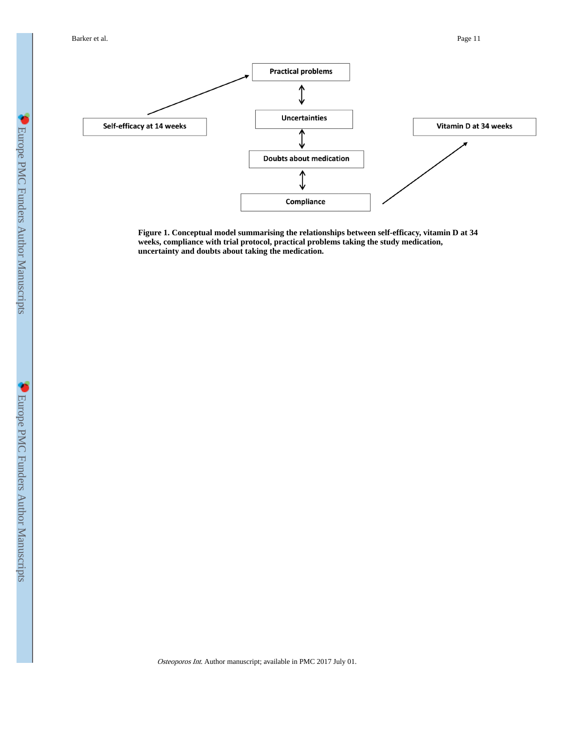Barker et al. Page 11



**Figure 1. Conceptual model summarising the relationships between self-efficacy, vitamin D at 34 weeks, compliance with trial protocol, practical problems taking the study medication, uncertainty and doubts about taking the medication.**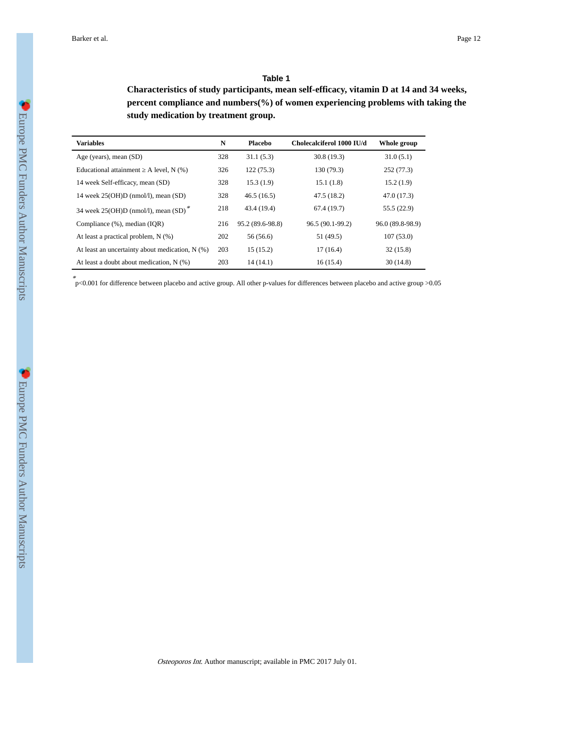#### **Table 1**

**Characteristics of study participants, mean self-efficacy, vitamin D at 14 and 34 weeks, percent compliance and numbers(%) of women experiencing problems with taking the study medication by treatment group.**

| <b>Variables</b>                                   | N   | <b>Placebo</b>   | Cholecalciferol 1000 IU/d | Whole group      |  |
|----------------------------------------------------|-----|------------------|---------------------------|------------------|--|
| Age (years), mean (SD)                             | 328 | 31.1(5.3)        | 30.8(19.3)                | 31.0(5.1)        |  |
| Educational attainment $\Lambda$ level, $N(\%)$    | 326 | 122(75.3)        | 130(79.3)                 | 252(77.3)        |  |
| 14 week Self-efficacy, mean (SD)                   | 328 | 15.3(1.9)        | 15.1(1.8)                 | 15.2(1.9)        |  |
| 14 week $25(OH)D$ (nmol/l), mean (SD)              | 328 | 46.5(16.5)       | 47.5(18.2)                | 47.0 (17.3)      |  |
| 34 week $25(OH)D$ (nmol/l), mean (SD) <sup>*</sup> | 218 | 43.4 (19.4)      | 67.4(19.7)                | 55.5 (22.9)      |  |
| Compliance $(\%)$ , median $(IQR)$                 | 216 | 95.2 (89.6-98.8) | 96.5 (90.1-99.2)          | 96.0 (89.8-98.9) |  |
| At least a practical problem, N (%)                | 202 | 56 (56.6)        | 51 (49.5)                 | 107(53.0)        |  |
| At least an uncertainty about medication, N (%)    | 203 | 15(15.2)         | 17(16.4)                  | 32(15.8)         |  |
| At least a doubt about medication, N (%)           | 203 | 14(14.1)         | 16(15.4)                  | 30(14.8)         |  |

\* p<0.001 for difference between placebo and active group. All other p-values for differences between placebo and active group >0.05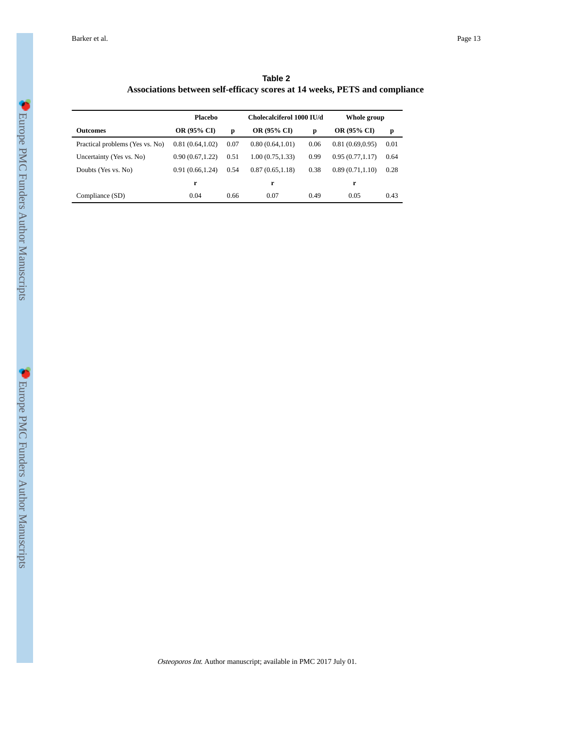| Table 2                                                                    |  |
|----------------------------------------------------------------------------|--|
| Associations between self-efficacy scores at 14 weeks, PETS and compliance |  |

|                                 | <b>Placebo</b>     |      | Cholecalciferol 1000 IU/d |      | Whole group        |      |  |
|---------------------------------|--------------------|------|---------------------------|------|--------------------|------|--|
| <b>Outcomes</b>                 | <b>OR (95% CI)</b> | p    | <b>OR (95% CI)</b>        | p    | <b>OR (95% CI)</b> | p    |  |
| Practical problems (Yes vs. No) | 0.81(0.64, 1.02)   | 0.07 | 0.80(0.64, 1.01)          | 0.06 | 0.81(0.69, 0.95)   | 0.01 |  |
| Uncertainty (Yes vs. No)        | 0.90(0.67, 1.22)   | 0.51 | 1.00(0.75, 1.33)          | 0.99 | 0.95(0.77, 1.17)   | 0.64 |  |
| Doubts (Yes vs. No)             | 0.91(0.66, 1.24)   | 0.54 | 0.87(0.65, 1.18)          | 0.38 | 0.89(0.71, 1.10)   | 0.28 |  |
|                                 | r                  |      | r                         |      | r                  |      |  |
| Compliance (SD)                 | 0.04               | 0.66 | 0.07                      | 0.49 | 0.05               | 0.43 |  |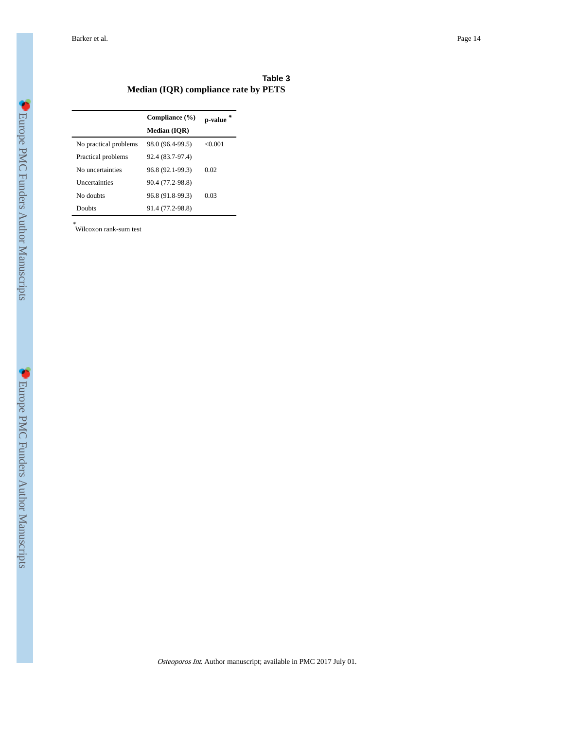### **Table 3 Median (IQR) compliance rate by PETS**

|                       | Compliance (%)   | p-value |  |
|-----------------------|------------------|---------|--|
|                       | Median (IOR)     |         |  |
| No practical problems | 98.0 (96.4-99.5) | <0.001  |  |
| Practical problems    | 92.4 (83.7-97.4) |         |  |
| No uncertainties      | 96.8 (92.1-99.3) | 0.02    |  |
| <b>Uncertainties</b>  | 90.4 (77.2-98.8) |         |  |
| No doubts             | 96.8 (91.8-99.3) | 0.03    |  |
| Doubts                | 91.4 (77.2-98.8) |         |  |

\* Wilcoxon rank-sum test